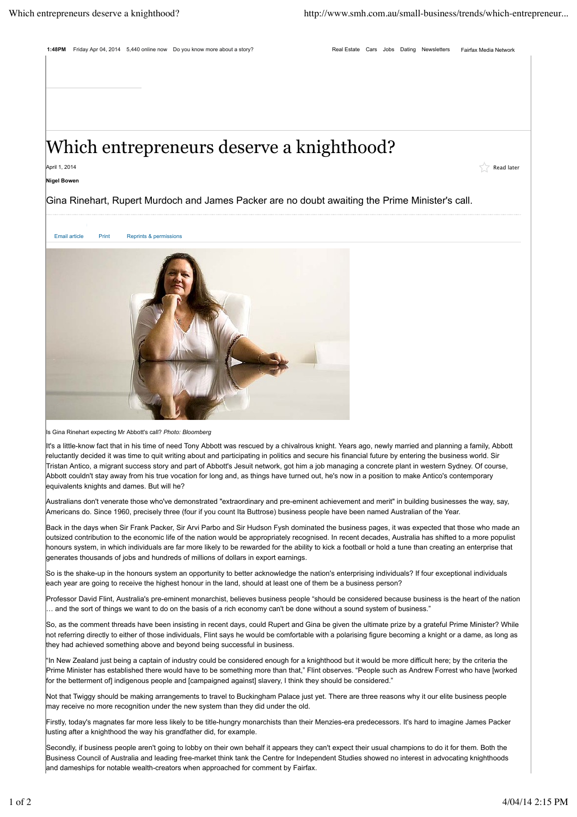## Which entrepreneurs deserve a knighthood?

April 1, 2014 Read later and the set of the set of the set of the set of the set of the set of the set of the set of the set of the set of the set of the set of the set of the set of the set of the set of the set of the se

## **Nigel Bowen**

Gina Rinehart, Rupert Murdoch and James Packer are no doubt awaiting the Prime Minister's call.



Is Gina Rinehart expecting Mr Abbott's call? *Photo: Bloomberg*

It's a little-know fact that in his time of need Tony Abbott was rescued by a chivalrous knight. Years ago, newly married and planning a family, Abbott reluctantly decided it was time to quit writing about and participating in politics and secure his financial future by entering the business world. Sir Tristan Antico, a migrant success story and part of Abbott's Jesuit network, got him a job managing a concrete plant in western Sydney. Of course, Abbott couldn't stay away from his true vocation for long and, as things have turned out, he's now in a position to make Antico's contemporary equivalents knights and dames. But will he?

Australians don't venerate those who've demonstrated "extraordinary and pre-eminent achievement and merit" in building businesses the way, say, Americans do. Since 1960, precisely three (four if you count Ita Buttrose) business people have been named Australian of the Year.

Back in the days when Sir Frank Packer, Sir Arvi Parbo and Sir Hudson Fysh dominated the business pages, it was expected that those who made an outsized contribution to the economic life of the nation would be appropriately recognised. In recent decades, Australia has shifted to a more populist honours system, in which individuals are far more likely to be rewarded for the ability to kick a football or hold a tune than creating an enterprise that generates thousands of jobs and hundreds of millions of dollars in export earnings.

So is the shake-up in the honours system an opportunity to better acknowledge the nation's enterprising individuals? If four exceptional individuals each year are going to receive the highest honour in the land, should at least one of them be a business person?

Professor David Flint, Australia's pre-eminent monarchist, believes business people "should be considered because business is the heart of the nation … and the sort of things we want to do on the basis of a rich economy can't be done without a sound system of business."

So, as the comment threads have been insisting in recent days, could Rupert and Gina be given the ultimate prize by a grateful Prime Minister? While not referring directly to either of those individuals, Flint says he would be comfortable with a polarising figure becoming a knight or a dame, as long as they had achieved something above and beyond being successful in business.

"In New Zealand just being a captain of industry could be considered enough for a knighthood but it would be more difficult here; by the criteria the Prime Minister has established there would have to be something more than that," Flint observes. "People such as Andrew Forrest who have [worked for the betterment of] indigenous people and [campaigned against] slavery, I think they should be considered."

Not that Twiggy should be making arrangements to travel to Buckingham Palace just yet. There are three reasons why it our elite business people may receive no more recognition under the new system than they did under the old.

Firstly, today's magnates far more less likely to be title-hungry monarchists than their Menzies-era predecessors. It's hard to imagine James Packer lusting after a knighthood the way his grandfather did, for example.

Secondly, if business people aren't going to lobby on their own behalf it appears they can't expect their usual champions to do it for them. Both the Business Council of Australia and leading free-market think tank the Centre for Independent Studies showed no interest in advocating knighthoods and dameships for notable wealth-creators when approached for comment by Fairfax.